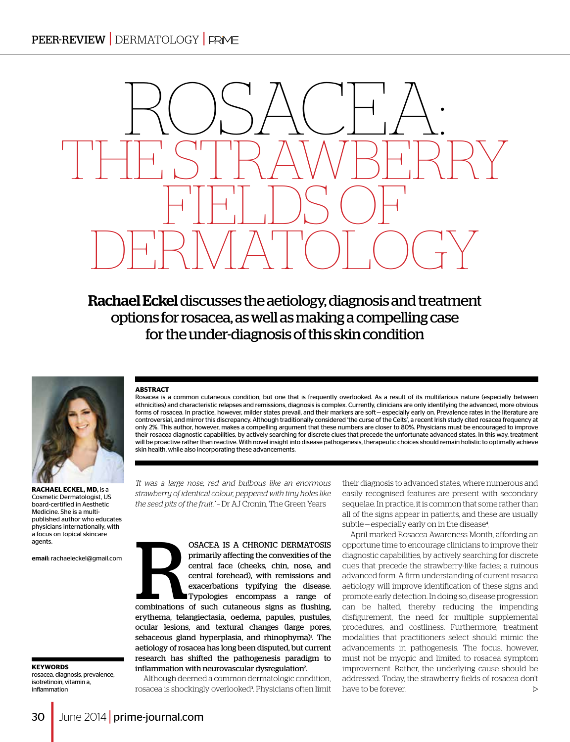# ROSACHA: THE STRAWBERRY FIELDS O DERMATOLOGY

Rachael Eckel discusses the aetiology, diagnosis and treatment options for rosacea, as well as making a compelling case for the under-diagnosis of this skin condition



**Rachael Eckel, MD,** is a Cosmetic Dermatologist, US board-certified in Aesthetic Medicine. She is a multipublished author who educates physicians internationally, with a focus on topical skincare agents.

email: rachaeleckel@gmail.com

**Keywords**  rosacea, diagnosis, prevalence, isotretinoin, vitamin a, inflammation

## **ABSTRACT**

Rosacea is a common cutaneous condition, but one that is frequently overlooked. As a result of its multifarious nature (especially between ethnicities) and characteristic relapses and remissions, diagnosis is complex. Currently, clinicians are only identifying the advanced, more obvious forms of rosacea. In practice, however, milder states prevail, and their markers are soft—especially early on. Prevalence rates in the literature are controversial, and mirror this discrepancy. Although traditionally considered 'the curse of the Celts', a recent Irish study cited rosacea frequency at only 2%. This author, however, makes a compelling argument that these numbers are closer to 80%. Physicians must be encouraged to improve their rosacea diagnostic capabilities, by actively searching for discrete clues that precede the unfortunate advanced states. In this way, treatment will be proactive rather than reactive. With novel insight into disease pathogenesis, therapeutic choices should remain holistic to optimally achieve skin health, while also incorporating these advancements.

*'It was a large nose, red and bulbous like an enormous strawberry of identical colour, peppered with tiny holes like the seed pits of the fruit.'* – Dr AJ Cronin, The Green Years

OSACEA IS A CHRONIC DERMATOSIS<br>primarily affecting the convexities of the<br>central face (cheeks, chin, nose, and<br>central forehead), with remissions and<br>exacerbations typifying the disease.<br>Typologies encompass a range of<br>co primarily affecting the convexities of the central face (cheeks, chin, nose, and central forehead), with remissions and exacerbations typifying the disease. Typologies encompass a range of combinations of such cutaneous signs as flushing, erythema, telangiectasia, oedema, papules, pustules, ocular lesions, and textural changes (large pores, sebaceous gland hyperplasia, and rhinophyma)<sup>1</sup>. The aetiology of rosacea has long been disputed, but current research has shifted the pathogenesis paradigm to inflammation with neurovascular dysregulation<sup>2</sup>. .

Although deemed a common dermatologic condition, rosacea is shockingly overlooked<sup>3</sup>. Physicians often limit their diagnosis to advanced states, where numerous and easily recognised features are present with secondary sequelae. In practice, it is common that some rather than all of the signs appear in patients, and these are usually subtle-especially early on in the disease<sup>4</sup>.

April marked Rosacea Awareness Month, affording an opportune time to encourage clinicians to improve their diagnostic capabilities, by actively searching for discrete cues that precede the strawberry-like facies; a ruinous advanced form. A firm understanding of current rosacea aetiology will improve identification of these signs and promote early detection. In doing so, disease progression can be halted, thereby reducing the impending disfigurement, the need for multiple supplemental procedures, and costliness. Furthermore, treatment modalities that practitioners select should mimic the advancements in pathogenesis. The focus, however, must not be myopic and limited to rosacea symptom improvement. Rather, the underlying cause should be addressed. Today, the strawberry fields of rosacea don't have to be forever.  $\triangleright$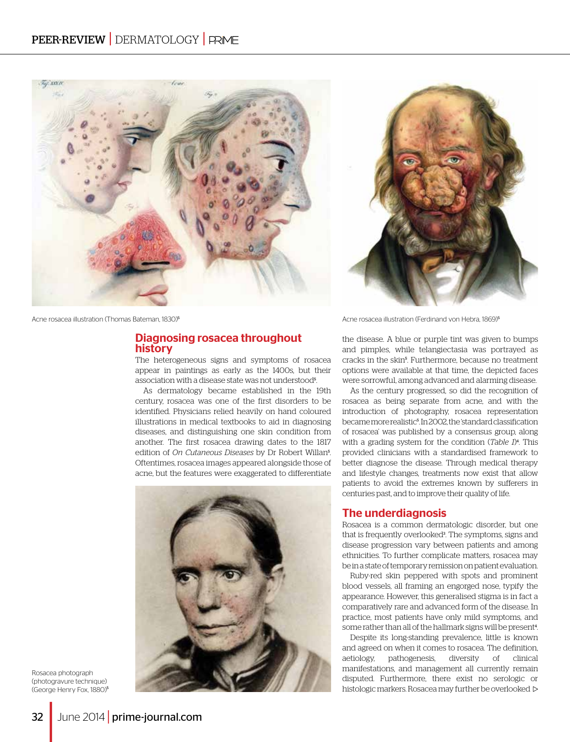



Acne rosacea illustration (Thomas Bateman, 1830)<sup>5</sup> Acne rosacea illustration (Ferdinand von Hebra, 1869)<sup>5</sup> Acne rosacea illustration (Ferdinand von Hebra, 1869)<sup>5</sup>

## Diagnosing rosacea throughout history

The heterogeneous signs and symptoms of rosacea appear in paintings as early as the 1400s, but their association with a disease state was not understood<sup>5</sup>.

As dermatology became established in the 19th century, rosacea was one of the first disorders to be identified. Physicians relied heavily on hand coloured illustrations in medical textbooks to aid in diagnosing diseases, and distinguishing one skin condition from another. The first rosacea drawing dates to the 1817 edition of *On Cutaneous Diseases* by Dr Robert Willan<sup>5</sup> . Oftentimes, rosacea images appeared alongside those of acne, but the features were exaggerated to differentiate



Rosacea photograph (photogravure technique) (George Henry Fox, 1880)<sup>5</sup>

the disease. A blue or purple tint was given to bumps and pimples, while telangiectasia was portrayed as cracks in the skin<sup>5</sup>. Furthermore, because no treatment options were available at that time, the depicted faces were sorrowful, among advanced and alarming disease.

As the century progressed, so did the recognition of rosacea as being separate from acne, and with the introduction of photography, rosacea representation became more realistic<sup>s</sup>. In 2002, the 'standard classification of rosacea' was published by a consensus group, along with a grading system for the condition (*Table 1*) 4 . This provided clinicians with a standardised framework to better diagnose the disease. Through medical therapy and lifestyle changes, treatments now exist that allow patients to avoid the extremes known by sufferers in centuries past, and to improve their quality of life.

## The underdiagnosis

Rosacea is a common dermatologic disorder, but one that is frequently overlooked<sup>3</sup>. The symptoms, signs and disease progression vary between patients and among ethnicities. To further complicate matters, rosacea may be in a state of temporary remission on patient evaluation.

Ruby-red skin peppered with spots and prominent blood vessels, all framing an engorged nose, typify the appearance. However, this generalised stigma is in fact a comparatively rare and advanced form of the disease. In practice, most patients have only mild symptoms, and some rather than all of the hallmark signs will be present<sup>4</sup>. .

Despite its long-standing prevalence, little is known and agreed on when it comes to rosacea. The definition, aetiology, pathogenesis, diversity of clinical manifestations, and management all currently remain disputed. Furthermore, there exist no serologic or histologic markers. Rosacea may further be overlooked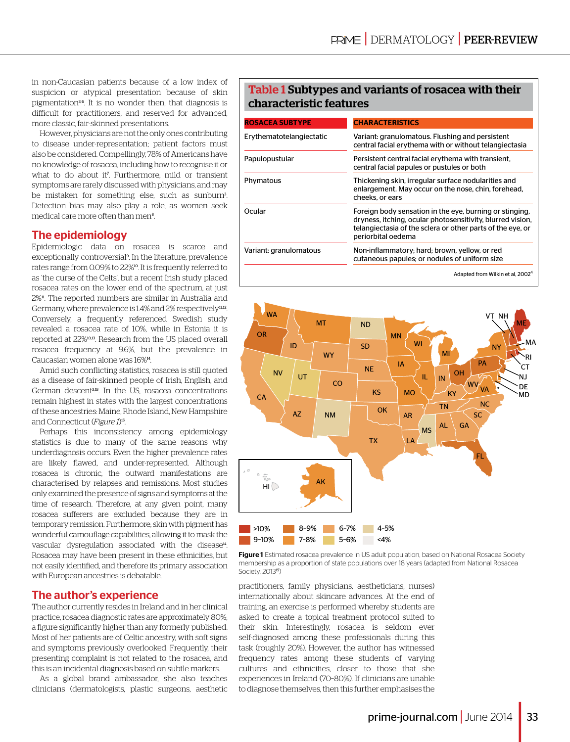in non-Caucasian patients because of a low index of suspicion or atypical presentation because of skin pigmentation3, 6. It is no wonder then, that diagnosis is difficult for practitioners, and reserved for advanced, more classic, fair-skinned presentations.

However, physicians are not the only ones contributing to disease under-representation; patient factors must also be considered. Compellingly, 78% of Americans have no knowledge of rosacea, including how to recognise it or what to do about it<sup>7</sup> . Furthermore, mild or transient symptoms are rarely discussed with physicians, and may be mistaken for something else, such as sunburn<sup>3</sup>. Detection bias may also play a role, as women seek medical care more often than men<sup>8</sup>.

# The epidemiology

Epidemiologic data on rosacea is scarce and exceptionally controversial<sup>9</sup>. In the literature, prevalence rates range from 0.09% to 22%<sup>10</sup>. It is frequently referred to as 'the curse of the Celts', but a recent Irish study placed rosacea rates on the lower end of the spectrum, at just 2%<sup>1</sup>. The reported numbers are similar in Australia and Germany, where prevalence is 1.4% and 2% respectively<sup>11,12</sup>. Conversely, a frequently referenced Swedish study revealed a rosacea rate of 10%, while in Estonia it is reported at 22%10, 13. Research from the US placed overall rosacea frequency at 9.6%, but the prevalence in Caucasian women alone was 16%14.

Amid such conflicting statistics, rosacea is still quoted as a disease of fair-skinned people of Irish, English, and German descent<sup>3,15</sup>. In the US, rosacea concentrations remain highest in states with the largest concentrations of these ancestries: Maine, Rhode Island, New Hampshire and Connecticut (*Figure 1*) 15.

Perhaps this inconsistency among epidemiology statistics is due to many of the same reasons why underdiagnosis occurs. Even the higher prevalence rates are likely flawed, and under-represented. Although rosacea is chronic, the outward manifestations are characterised by relapses and remissions. Most studies only examined the presence of signs and symptoms at the time of research. Therefore, at any given point, many rosacea sufferers are excluded because they are in temporary remission. Furthermore, skin with pigment has wonderful camouflage capabilities, allowing it to mask the vascular dysregulation associated with the disease<sup>14</sup>. Rosacea may have been present in these ethnicities, but not easily identified, and therefore its primary association with European ancestries is debatable.

# The author's experience

The author currently resides in Ireland and in her clinical practice, rosacea diagnostic rates are approximately 80%; a figure significantly higher than any formerly published. Most of her patients are of Celtic ancestry, with soft signs and symptoms previously overlooked. Frequently, their presenting complaint is not related to the rosacea, and this is an incidental diagnosis based on subtle markers.

As a global brand ambassador, she also teaches clinicians (dermatologists, plastic surgeons, aesthetic

# Table 1 Subtypes and variants of rosacea with their characteristic features

| <b>ROSACEA SUBTYPE</b>   | <b>CHARACTERISTICS</b>                                                                                                                                                                                    |  |
|--------------------------|-----------------------------------------------------------------------------------------------------------------------------------------------------------------------------------------------------------|--|
| Erythematotelangiectatic | Variant: granulomatous. Flushing and persistent<br>central facial erythema with or without telangiectasia                                                                                                 |  |
| Papulopustular           | Persistent central facial erythema with transient,<br>central facial papules or pustules or both                                                                                                          |  |
| Phymatous                | Thickening skin, irregular surface nodularities and<br>enlargement. May occur on the nose, chin, forehead,<br>cheeks, or ears                                                                             |  |
| Ocular                   | Foreign body sensation in the eye, burning or stinging,<br>dryness, itching, ocular photosensitivity, blurred vision,<br>telangiectasia of the sclera or other parts of the eye, or<br>periorbital oedema |  |
| Variant: granulomatous   | Non-inflammatory; hard; brown, yellow, or red<br>cutaneous papules; or nodules of uniform size                                                                                                            |  |
|                          | Adapted from Wilkin et al, 2002 <sup>4</sup>                                                                                                                                                              |  |



Figure 1 Estimated rosacea prevalence in US adult population, based on National Rosacea Society membership as a proportion of state populations over 18 years (adapted from National Rosacea Society, 201315)

practitioners, family physicians, aestheticians, nurses) internationally about skincare advances. At the end of training, an exercise is performed whereby students are asked to create a topical treatment protocol suited to their skin. Interestingly, rosacea is seldom ever self-diagnosed among these professionals during this task (roughly 20%). However, the author has witnessed frequency rates among these students of varying cultures and ethnicities, closer to those that she experiences in Ireland (70–80%). If clinicians are unable to diagnose themselves, then this further emphasises the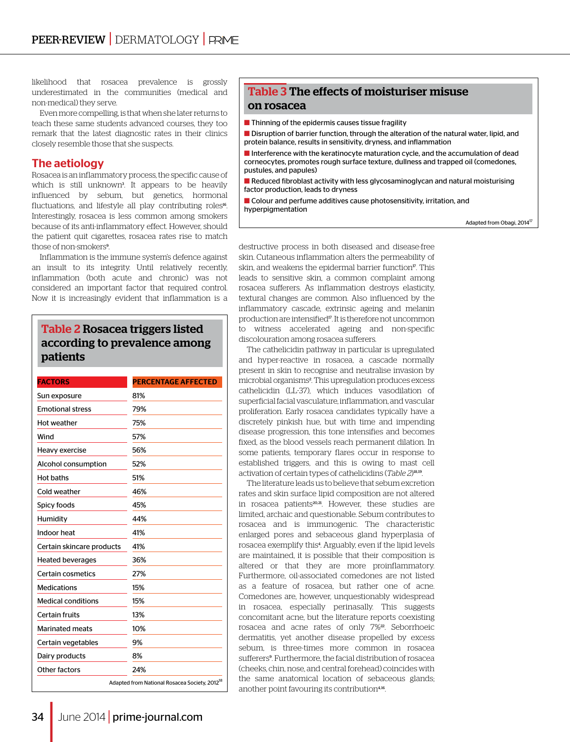likelihood that rosacea prevalence is grossly underestimated in the communities (medical and non-medical) they serve.

Even more compelling, is that when she later returns to teach these same students advanced courses, they too remark that the latest diagnostic rates in their clinics closely resemble those that she suspects.

# The aetiology

Rosacea is an inflammatory process, the specific cause of which is still unknown<sup>3</sup> . It appears to be heavily influenced by sebum, but genetics, hormonal fluctuations, and lifestyle all play contributing roles<sup>16</sup>. Interestingly, rosacea is less common among smokers because of its anti-inflammatory effect. However, should the patient quit cigarettes, rosacea rates rise to match those of non-smokers<sup>9</sup>. .

Inflammation is the immune system's defence against an insult to its integrity. Until relatively recently, inflammation (both acute and chronic) was not considered an important factor that required control. Now it is increasingly evident that inflammation is a

# Table 2 Rosacea triggers listed according to prevalence among patients

| <b>FACTORS</b>            | <b>PERCENTAGE AFFECTED</b>                                |
|---------------------------|-----------------------------------------------------------|
| Sun exposure              | 81%                                                       |
| <b>Emotional stress</b>   | 79%                                                       |
| Hot weather               | 75%                                                       |
| Wind                      | 57%                                                       |
| Heavy exercise            | 56%                                                       |
| Alcohol consumption       | 52%                                                       |
| <b>Hot baths</b>          | 51%                                                       |
| Cold weather              | 46%                                                       |
| Spicy foods               | 45%                                                       |
| Humidity                  | 44%                                                       |
| Indoor heat               | 41%                                                       |
| Certain skincare products | 41%                                                       |
| <b>Heated beverages</b>   | 36%                                                       |
| Certain cosmetics         | 27%                                                       |
| <b>Medications</b>        | 15%                                                       |
| <b>Medical conditions</b> | 15%                                                       |
| Certain fruits            | 13%                                                       |
| <b>Marinated meats</b>    | 10%                                                       |
| Certain vegetables        | 9%                                                        |
| Dairy products            | 8%                                                        |
| Other factors             | 24%                                                       |
|                           | Adapted from National Rosacea Society, 2012 <sup>18</sup> |

# Table 3 The effects of moisturiser misuse on rosacea

- $\blacksquare$  Thinning of the epidermis causes tissue fragility
- **n** Disruption of barrier function, through the alteration of the natural water, lipid, and protein balance, results in sensitivity, dryness, and inflammation

 $\blacksquare$  Interference with the keratinocyte maturation cycle, and the accumulation of dead corneocytes, promotes rough surface texture, dullness and trapped oil (comedones, pustules, and papules)

 $\blacksquare$  Reduced fibroblast activity with less glycosaminoglycan and natural moisturising factor production, leads to dryness

 $\blacksquare$  Colour and perfume additives cause photosensitivity, irritation, and hyperpigmentation

Adapted from Obagi, 2014<sup>17</sup>

destructive process in both diseased and disease-free skin. Cutaneous inflammation alters the permeability of skin, and weakens the epidermal barrier function<sup>17</sup>. This leads to sensitive skin, a common complaint among rosacea sufferers. As inflammation destroys elasticity, textural changes are common. Also influenced by the inflammatory cascade, extrinsic ageing and melanin production are intensified<sup>17</sup>. It is therefore not uncommon to witness accelerated ageing and non-specific discolouration among rosacea sufferers.

The cathelicidin pathway in particular is upregulated and hyper-reactive in rosacea, a cascade normally present in skin to recognise and neutralise invasion by microbial organisms<sup>2</sup>. This upregulation produces excess cathelicidin (LL-37), which induces vasodilation of superficial facial vasculature, inflammation, and vascular proliferation. Early rosacea candidates typically have a discretely pinkish hue, but with time and impending disease progression, this tone intensifies and becomes fixed, as the blood vessels reach permanent dilation. In some patients, temporary flares occur in response to established triggers, and this is owing to mast cell activation of certain types of cathelicidins (*Table 2*) 18, 19.

The literature leads us to believe that sebum excretion rates and skin surface lipid composition are not altered in rosacea patients<sup>20,21</sup>. However, these studies are limited, archaic and questionable. Sebum contributes to rosacea and is immunogenic. The characteristic enlarged pores and sebaceous gland hyperplasia of rosacea exemplify this<sup>4</sup>. Arguably, even if the lipid levels are maintained, it is possible that their composition is altered or that they are more proinflammatory. Furthermore, oil-associated comedones are not listed as a feature of rosacea, but rather one of acne. Comedones are, however, unquestionably widespread in rosacea, especially perinasally. This suggests concomitant acne, but the literature reports coexisting rosacea and acne rates of only 7%<sup>22</sup>. Seborrhoeic dermatitis, yet another disease propelled by excess sebum, is three-times more common in rosacea sufferers<sup>9</sup>. Furthermore, the facial distribution of rosacea (cheeks, chin, nose, and central forehead) coincides with the same anatomical location of sebaceous glands; another point favouring its contribution<sup>4,16</sup>.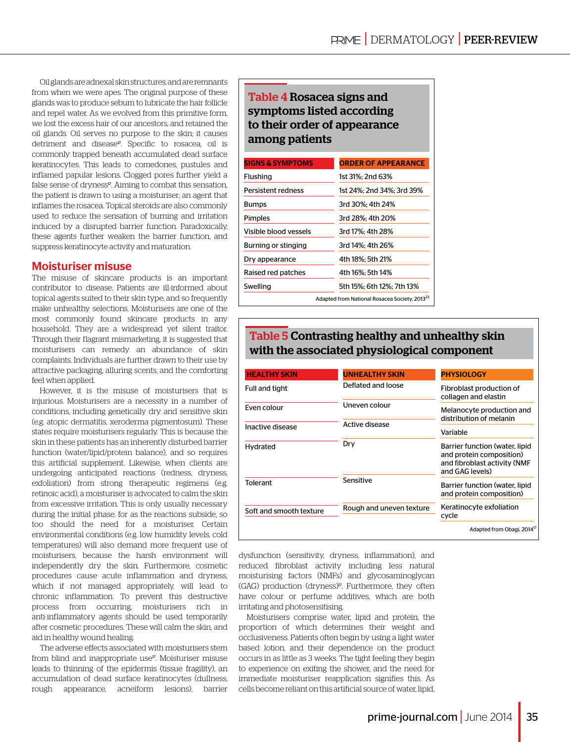Oil glands are adnexal skin structures, and are remnants from when we were apes. The original purpose of these glands was to produce sebum to lubricate the hair follicle and repel water. As we evolved from this primitive form, we lost the excess hair of our ancestors, and retained the oil glands. Oil serves no purpose to the skin; it causes detriment and disease<sup>17</sup>. Specific to rosacea, oil is commonly trapped beneath accumulated dead surface keratinocytes. This leads to comedones, pustules and inflamed papular lesions. Clogged pores further yield a false sense of dryness<sup>17</sup>. Aiming to combat this sensation, the patient is drawn to using a moisturiser; an agent that inflames the rosacea. Topical steroids are also commonly used to reduce the sensation of burning and irritation induced by a disrupted barrier function. Paradoxically, these agents further weaken the barrier function, and suppress keratinocyte activity and maturation.

# Moisturiser misuse

The misuse of skincare products is an important contributor to disease. Patients are ill-informed about topical agents suited to their skin type, and so frequently make unhealthy selections. Moisturisers are one of the most commonly found skincare products in any household. They are a widespread yet silent traitor. Through their flagrant mismarketing, it is suggested that moisturisers can remedy an abundance of skin complaints. Individuals are further drawn to their use by attractive packaging, alluring scents, and the comforting feel when applied.

However, it is the misuse of moisturisers that is injurious. Moisturisers are a necessity in a number of conditions, including genetically dry and sensitive skin (e.g. atopic dermatitis, xeroderma pigmentosum). These states require moisturisers regularly. This is because the skin in these patients has an inherently disturbed barrier function (water/lipid/protein balance), and so requires this artificial supplement. Likewise, when clients are undergoing anticipated reactions (redness, dryness, exfoliation) from strong therapeutic regimens (e.g. retinoic acid), a moisturiser is advocated to calm the skin from excessive irritation. This is only usually necessary during the initial phase, for as the reactions subside, so too should the need for a moisturiser. Certain environmental conditions (e.g. low humidity levels, cold temperatures) will also demand more frequent use of moisturisers, because the harsh environment will independently dry the skin. Furthermore, cosmetic procedures cause acute inflammation and dryness, which if not managed appropriately, will lead to chronic inflammation. To prevent this destructive process from occurring, moisturisers rich in anti-inflammatory agents should be used temporarily after cosmetic procedures. These will calm the skin, and aid in healthy wound healing.

The adverse effects associated with moisturisers stem from blind and inappropriate use<sup>17</sup>. Moisturiser misuse leads to thinning of the epidermis (tissue fragility), an accumulation of dead surface keratinocytes (dullness, rough appearance, acneiform lesions), barrier

# Table 4 Rosacea signs and symptoms listed according to their order of appearance among patients

| <b>SIGNS &amp; SYMPTOMS</b> | <b>ORDER OF APPEARANCE</b>                                |  |
|-----------------------------|-----------------------------------------------------------|--|
| Flushing                    | 1st 31%: 2nd 63%                                          |  |
| Persistent redness          | 1st 24%: 2nd 34%: 3rd 39%                                 |  |
| <b>Bumps</b>                | 3rd 30%: 4th 24%                                          |  |
| Pimples                     | 3rd 28%: 4th 20%                                          |  |
| Visible blood vessels       | 3rd 17%: 4th 28%                                          |  |
| Burning or stinging         | 3rd 14%: 4th 26%                                          |  |
| Dry appearance              | 4th 18%: 5th 21%                                          |  |
| Raised red patches          | 4th 16%: 5th 14%                                          |  |
| Swelling                    | 5th 15%: 6th 12%: 7th 13%                                 |  |
|                             | Adapted from National Rosacea Society, 2013 <sup>23</sup> |  |

# Table 5 Contrasting healthy and unhealthy skin with the associated physiological component

| <b>HEALTHY SKIN</b>     | <b>UNHEALTHY SKIN</b>    | <b>PHYSIOLOGY</b>                                                                                             |
|-------------------------|--------------------------|---------------------------------------------------------------------------------------------------------------|
| Full and tight          | Deflated and loose       | Fibroblast production of<br>collagen and elastin                                                              |
| Even colour             | Uneven colour            | Melanocyte production and<br>distribution of melanin                                                          |
| Inactive disease        | Active disease           | Variable                                                                                                      |
| Hydrated                | Dry                      | Barrier function (water, lipid<br>and protein composition)<br>and fibroblast activity (NMF<br>and GAG levels) |
| <b>Tolerant</b>         | Sensitive                | Barrier function (water, lipid<br>and protein composition)                                                    |
| Soft and smooth texture | Rough and uneven texture | Keratinocyte exfoliation<br>cycle                                                                             |
|                         |                          | Adapted from Obagi, 2014 <sup>17</sup>                                                                        |

dysfunction (sensitivity, dryness, inflammation), and reduced fibroblast activity including less natural moisturising factors (NMFs) and glycosaminoglycan  $(GAG)$  production  $(drvness)^{pr}$ . Furthermore, they often have colour or perfume additives, which are both irritating and photosensitising.

Moisturisers comprise water, lipid and protein, the proportion of which determines their weight and occlusiveness. Patients often begin by using a light water based lotion, and their dependence on the product occurs in as little as 3 weeks. The tight feeling they begin to experience on exiting the shower, and the need for immediate moisturiser reapplication signifies this. As cells become reliant on this artificial source of water, lipid,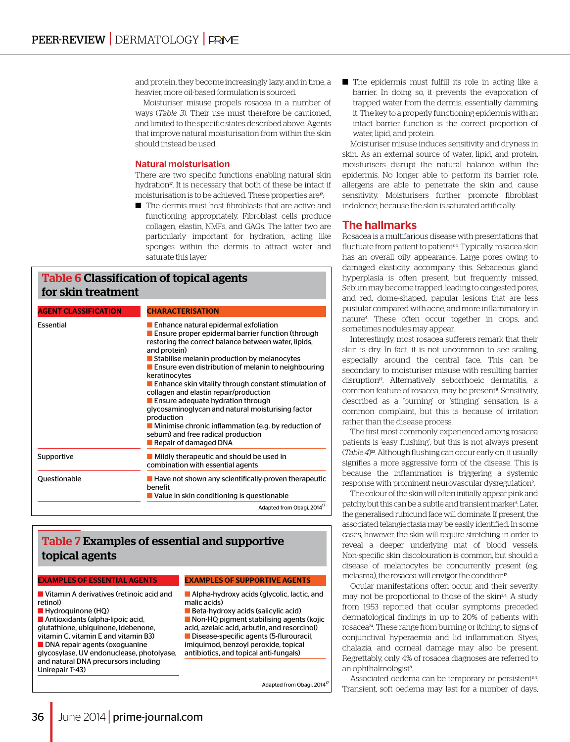and protein, they become increasingly lazy, and in time, a heavier, more oil-based formulation is sourced.

Moisturiser misuse propels rosacea in a number of ways (*Table 3*). Their use must therefore be cautioned, and limited to the specific states described above. Agents that improve natural moisturisation from within the skin should instead be used.

#### Natural moisturisation

There are two specific functions enabling natural skin hydration<sup>17</sup>. It is necessary that both of these be intact if moisturisation is to be achieved. These properties are<sup>17</sup>:

■ The dermis must host fibroblasts that are active and functioning appropriately. Fibroblast cells produce collagen, elastin, NMFs, and GAGs. The latter two are particularly important for hydration, acting like sponges within the dermis to attract water and saturate this layer

| <b>Table 6 Classification of topical agents</b><br>for skin treatment |                                                                                                                                                                                                                                                                                                                                                                                                                                                                                                                                                                                                                                                                          |  |
|-----------------------------------------------------------------------|--------------------------------------------------------------------------------------------------------------------------------------------------------------------------------------------------------------------------------------------------------------------------------------------------------------------------------------------------------------------------------------------------------------------------------------------------------------------------------------------------------------------------------------------------------------------------------------------------------------------------------------------------------------------------|--|
| <b>AGENT CLASSIFICATION</b>                                           | <b>CHARACTERISATION</b>                                                                                                                                                                                                                                                                                                                                                                                                                                                                                                                                                                                                                                                  |  |
| Essential                                                             | Enhance natural epidermal exfoliation<br><b>Ensure proper epidermal barrier function (through</b><br>restoring the correct balance between water, lipids,<br>and protein)<br>Stabilise melanin production by melanocytes<br><b>E</b> Ensure even distribution of melanin to neighbouring<br>keratinocytes<br>$\blacksquare$ Enhance skin vitality through constant stimulation of<br>collagen and elastin repair/production<br>Ensure adequate hydration through<br>glycosaminoglycan and natural moisturising factor<br>production<br>$\blacksquare$ Minimise chronic inflammation (e.g. by reduction of<br>sebum) and free radical production<br>Repair of damaged DNA |  |
| Supportive                                                            | Mildly therapeutic and should be used in<br>combination with essential agents                                                                                                                                                                                                                                                                                                                                                                                                                                                                                                                                                                                            |  |
| Questionable                                                          | $\blacksquare$ Have not shown any scientifically-proven therapeutic<br>benefit<br>Value in skin conditioning is questionable                                                                                                                                                                                                                                                                                                                                                                                                                                                                                                                                             |  |
|                                                                       | Adapted from Obagi 2014 <sup>17</sup>                                                                                                                                                                                                                                                                                                                                                                                                                                                                                                                                                                                                                                    |  |

# Table 7 Examples of essential and supportive topical agents

#### examples of essential agents

examples of supportive agents

 $\blacksquare$  Vitamin A derivatives (retinoic acid and retinol) **Hydroquinone (HQ)** 

 $\blacksquare$  Antioxidants (alpha-lipoic acid, glutathione, ubiquinone, idebenone, vitamin C, vitamin E and vitamin B3)  $\blacksquare$  DNA repair agents (oxoguanine glycosylase, UV endonuclease, photolyase, and natural DNA precursors including Unirepair T-43)

- **n** Alpha-hydroxy acids (glycolic, lactic, and malic acids)
- $\blacksquare$  Beta-hydroxy acids (salicylic acid)  $\blacksquare$  Non-HQ pigment stabilising agents (kojic acid, azelaic acid, arbutin, and resorcinol) Disease-specific agents (5-flurouracil, imiquimod, benzoyl peroxide, topical antibiotics, and topical anti-fungals)

Adapted from Obagi, 2014<sup>17</sup>

■ The epidermis must fulfill its role in acting like a barrier. In doing so, it prevents the evaporation of trapped water from the dermis, essentially damming it. The key to a properly functioning epidermis with an intact barrier function is the correct proportion of water, lipid, and protein.

Moisturiser misuse induces sensitivity and dryness in skin. As an external source of water, lipid, and protein, moisturisers disrupt the natural balance within the epidermis. No longer able to perform its barrier role, allergens are able to penetrate the skin and cause sensitivity. Moisturisers further promote fibroblast indolence, because the skin is saturated artificially.

## The hallmarks

Rosacea is a multifarious disease with presentations that fluctuate from patient to patient<sup>34</sup>. Typically, rosacea skin has an overall oily appearance. Large pores owing to damaged elasticity accompany this. Sebaceous gland hyperplasia is often present, but frequently missed. Sebum may become trapped, leading to congested pores, and red, dome-shaped, papular lesions that are less pustular compared with acne, and more inflammatory in nature<sup>4</sup> . These often occur together in crops, and sometimes nodules may appear.

Interestingly, most rosacea sufferers remark that their skin is dry. In fact, it is not uncommon to see scaling, especially around the central face. This can be secondary to moisturiser misuse with resulting barrier disruption<sup>17</sup>. Alternatively seborrhoeic dermatitis, a common feature of rosacea, may be present<sup>9</sup>. Sensitivity, described as a 'burning' or 'stinging' sensation, is a common complaint, but this is because of irritation rather than the disease process.

The first most commonly experienced among rosacea patients is 'easy flushing', but this is not always present (*Table 4*) <sup>23</sup>. Although flushing can occur early on, it usually signifies a more aggressive form of the disease. This is because the inflammation is triggering a systemic response with prominent neurovascular dysregulation<sup>2</sup>.

The colour of the skin will often initially appear pink and patchy, but this can be a subtle and transient marker<sup>3</sup>. Later, the generalised rubicund face will dominate. If present, the associated telangiectasia may be easily identified. In some cases, however, the skin will require stretching in order to reveal a deeper underlying mat of blood vessels. Non-specific skin discolouration is common, but should a disease of melanocytes be concurrently present (e.g. melasma), the rosacea will envigor the condition<sup>17</sup>.

Ocular manifestations often occur, and their severity may not be proportional to those of the skin<sup>34</sup>. A study from 1953 reported that ocular symptoms preceded dermatological findings in up to 20% of patients with rosacea<sup>24</sup>. These range from burning or itching, to signs of conjunctival hyperaemia and lid inflammation. Styes, chalazia, and corneal damage may also be present. Regrettably, only 4% of rosacea diagnoses are referred to an ophthalmologist<sup>9</sup>.

Associated oedema can be temporary or persistent<sup>34</sup>. Transient, soft oedema may last for a number of days,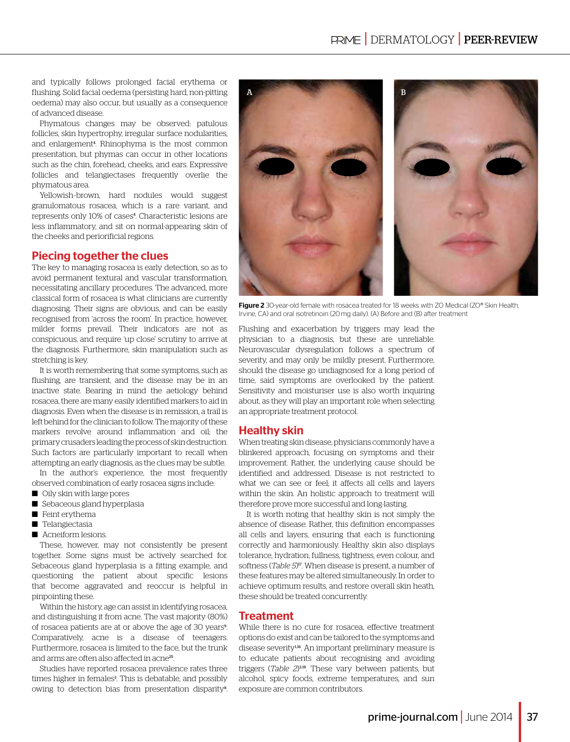and typically follows prolonged facial erythema or flushing. Solid facial oedema (persisting hard, non-pitting oedema) may also occur, but usually as a consequence of advanced disease.

Phymatous changes may be observed: patulous follicles, skin hypertrophy, irregular surface nodularities, and enlargement<sup>4</sup>. Rhinophyma is the most common presentation, but phymas can occur in other locations such as the chin, forehead, cheeks, and ears. Expressive follicles and telangiectases frequently overlie the phymatous area.

Yellowish–brown, hard nodules would suggest granulomatous rosacea, which is a rare variant, and represents only 10% of cases<sup>4</sup>. Characteristic lesions are less inflammatory, and sit on normal-appearing skin of the cheeks and periorificial regions.

# Piecing together the clues

The key to managing rosacea is early detection, so as to avoid permanent textural and vascular transformation, necessitating ancillary procedures. The advanced, more classical form of rosacea is what clinicians are currently diagnosing. Their signs are obvious, and can be easily recognised from 'across the room'. In practice, however, milder forms prevail. Their indicators are not as conspicuous, and require 'up close' scrutiny to arrive at the diagnosis. Furthermore, skin manipulation such as stretching is key.

It is worth remembering that some symptoms, such as flushing, are transient, and the disease may be in an inactive state. Bearing in mind the aetiology behind rosacea, there are many easily identified markers to aid in diagnosis. Even when the disease is in remission, a trail is left behind for the clinician to follow. The majority of these markers revolve around inflammation and oil; the primary crusaders leading the process of skin destruction. Such factors are particularly important to recall when attempting an early diagnosis, as the clues may be subtle.

In the author's experience, the most frequently observed combination of early rosacea signs include:

- Oily skin with large pores
- Sebaceous gland hyperplasia
- Feint erythema
- Telangiectasia
- Acneiform lesions.

These, however, may not consistently be present together. Some signs must be actively searched for. Sebaceous gland hyperplasia is a fitting example, and questioning the patient about specific lesions that become aggravated and reoccur is helpful in pinpointing these.

Within the history, age can assist in identifying rosacea, and distinguishing it from acne. The vast majority (80%) of rosacea patients are at or above the age of 30 years<sup>9</sup>. Comparatively, acne is a disease of teenagers. Furthermore, rosacea is limited to the face, but the trunk and arms are often also affected in acne<sup>25</sup>.

Studies have reported rosacea prevalence rates three times higher in females<sup>3</sup>. This is debatable, and possibly owing to detection bias from presentation disparity<sup>8</sup>.



Figure 2 30-year-old female with rosacea treated for 18 weeks with 70 Medical (70<sup>®</sup> Skin Health, Irvine, CA) and oral isotretinoin (20mg daily). (A) Before and (B) after treatment

Flushing and exacerbation by triggers may lead the physician to a diagnosis, but these are unreliable. Neurovascular dysregulation follows a spectrum of severity, and may only be mildly present. Furthermore, should the disease go undiagnosed for a long period of time, said symptoms are overlooked by the patient. Sensitivity and moisturiser use is also worth inquiring about, as they will play an important role when selecting an appropriate treatment protocol.

## Healthy skin

When treating skin disease, physicians commonly have a blinkered approach, focusing on symptoms and their improvement. Rather, the underlying cause should be identified and addressed. Disease is not restricted to what we can see or feel; it affects all cells and layers within the skin. An holistic approach to treatment will therefore prove more successful and long-lasting.

It is worth noting that healthy skin is not simply the absence of disease. Rather, this definition encompasses all cells and layers, ensuring that each is functioning correctly and harmoniously. Healthy skin also displays tolerance, hydration, fullness, tightness, even colour, and softness (*Table 5*)<sup>*n*</sup>. When disease is present, a number of these features may be altered simultaneously. In order to achieve optimum results, and restore overall skin heath, these should be treated concurrently.

## **Treatment**

While there is no cure for rosacea, effective treatment options do exist and can be tailored to the symptoms and disease severity<sup>1,16</sup>. An important preliminary measure is to educate patients about recognising and avoiding triggers (Table 2)<sup>3,18</sup>. These vary between patients, but alcohol, spicy foods, extreme temperatures, and sun exposure are common contributors.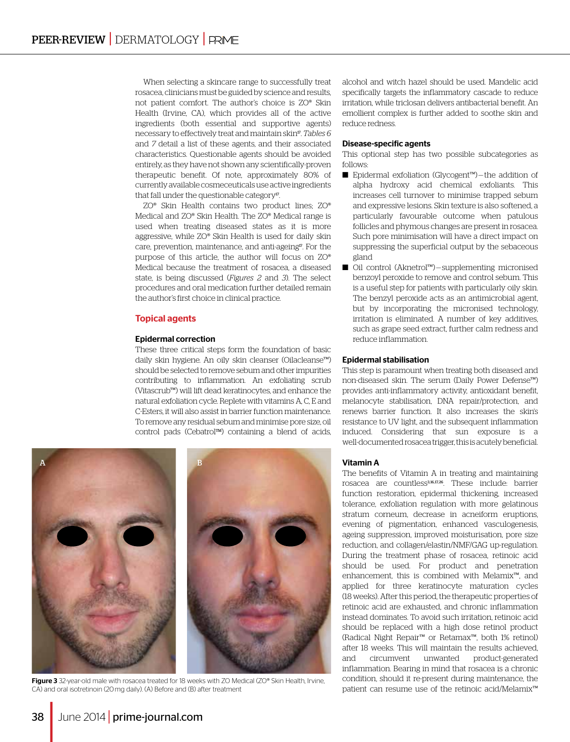When selecting a skincare range to successfully treat rosacea, clinicians must be guided by science and results, not patient comfort. The author's choice is ZO® Skin Health (Irvine, CA), which provides all of the active ingredients (both essential and supportive agents) necessary to effectively treat and maintain skin17. *Tables 6* and *7* detail a list of these agents, and their associated characteristics. Questionable agents should be avoided entirely, as they have not shown any scientifically-proven therapeutic benefit. Of note, approximately 80% of currently available cosmeceuticals use active ingredients that fall under the questionable category<sup>17</sup>.

ZO® Skin Health contains two product lines; ZO® Medical and ZO® Skin Health. The ZO® Medical range is used when treating diseased states as it is more aggressive, while ZO® Skin Health is used for daily skin care, prevention, maintenance, and anti-ageing<sup>17</sup>. For the purpose of this article, the author will focus on ZO® Medical because the treatment of rosacea, a diseased state, is being discussed (*Figures 2* and *3*). The select procedures and oral medication further detailed remain the author's first choice in clinical practice.

#### Topical agents

#### Epidermal correction

These three critical steps form the foundation of basic daily skin hygiene. An oily skin cleanser (Oilacleanse™) should be selected to remove sebum and other impurities contributing to inflammation. An exfoliating scrub (Vitascrub™) will lift dead keratinocytes, and enhance the natural exfoliation cycle. Replete with vitamins A, C, E and C-Esters, it will also assist in barrier function maintenance. To remove any residual sebum and minimise pore size, oil control pads (Cebatrol<sup>TM</sup>) containing a blend of acids,



Figure 3 32-year-old male with rosacea treated for 18 weeks with ZO Medical (ZO® Skin Health, Irvine, CA) and oral isotretinoin (20mg daily). (A) Before and (B) after treatment

alcohol and witch hazel should be used. Mandelic acid specifically targets the inflammatory cascade to reduce irritation, while triclosan delivers antibacterial benefit. An emollient complex is further added to soothe skin and reduce redness.

#### Disease-specific agents

This optional step has two possible subcategories as follows:

- Epidermal exfoliation (Glycogent™) the addition of alpha hydroxy acid chemical exfoliants. This increases cell turnover to minimise trapped sebum and expressive lesions. Skin texture is also softened, a particularly favourable outcome when patulous follicles and phymous changes are present in rosacea. Such pore minimisation will have a direct impact on suppressing the superficial output by the sebaceous gland
- Oil control (Aknetrol™) supplementing micronised benzoyl peroxide to remove and control sebum. This is a useful step for patients with particularly oily skin. The benzyl peroxide acts as an antimicrobial agent, but by incorporating the micronised technology, irritation is eliminated. A number of key additives, such as grape seed extract, further calm redness and reduce inflammation.

#### Epidermal stabilisation

This step is paramount when treating both diseased and non-diseased skin. The serum (Daily Power Defense™) provides anti-inflammatory activity, antioxidant benefit, melanocyte stabilisation, DNA repair/protection, and renews barrier function. It also increases the skin's resistance to UV light, and the subsequent inflammation induced. Considering that sun exposure is a well-documented rosacea trigger, this is acutely beneficial.

#### Vitamin A

The benefits of Vitamin A in treating and maintaining rosacea are countless3, 16, 17, 26. These include: barrier function restoration, epidermal thickening, increased tolerance, exfoliation regulation with more gelatinous stratum corneum, decrease in acneiform eruptions, evening of pigmentation, enhanced vasculogenesis, ageing suppression, improved moisturisation, pore size reduction, and collagen/elastin/NMF/GAG up-regulation. During the treatment phase of rosacea, retinoic acid should be used. For product and penetration enhancement, this is combined with Melamix™, and applied for three keratinocyte maturation cycles (18 weeks). After this period, the therapeutic properties of retinoic acid are exhausted, and chronic inflammation instead dominates. To avoid such irritation, retinoic acid should be replaced with a high dose retinol product (Radical Night Repair™ or Retamax™, both 1% retinol) after 18 weeks. This will maintain the results achieved, and circumvent unwanted product-generated inflammation. Bearing in mind that rosacea is a chronic condition, should it re-present during maintenance, the patient can resume use of the retinoic acid/Melamix™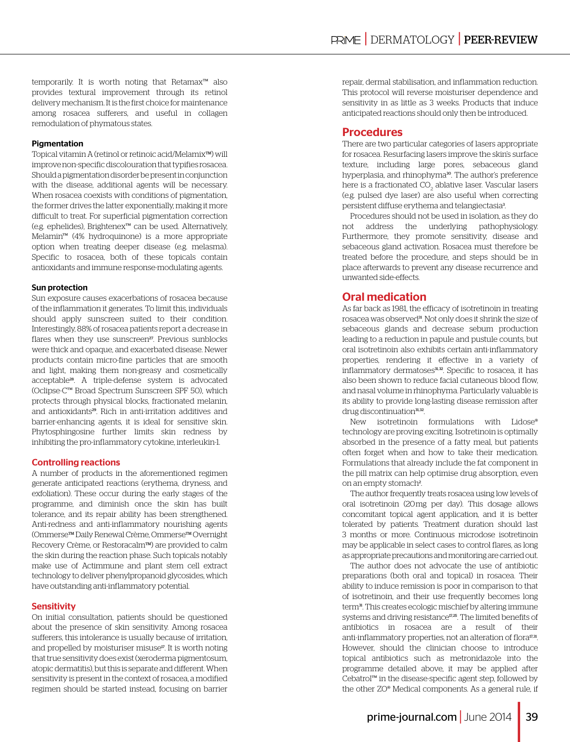temporarily. It is worth noting that Retamax™ also provides textural improvement through its retinol delivery mechanism. It is the first choice for maintenance among rosacea sufferers, and useful in collagen remodulation of phymatous states.

#### **Pigmentation**

Topical vitamin A (retinol or retinoic acid/Melamix™) will improve non-specific discolouration that typifies rosacea. Should a pigmentation disorder be present in conjunction with the disease, additional agents will be necessary. When rosacea coexists with conditions of pigmentation, the former drives the latter exponentially, making it more difficult to treat. For superficial pigmentation correction (e.g. ephelides), Brightenex™ can be used. Alternatively, Melamin™ (4% hydroquinone) is a more appropriate option when treating deeper disease (e.g. melasma). Specific to rosacea, both of these topicals contain antioxidants and immune response-modulating agents.

#### Sun protection

Sun exposure causes exacerbations of rosacea because of the inflammation it generates. To limit this, individuals should apply sunscreen suited to their condition. Interestingly, 88% of rosacea patients report a decrease in flares when they use sunscreen<sup>27</sup>. Previous sunblocks were thick and opaque, and exacerbated disease. Newer products contain micro-fine particles that are smooth and light, making them non-greasy and cosmetically acceptable28. A triple-defense system is advocated (Oclipse-C™ Broad Spectrum Sunscreen SPF 50), which protects through physical blocks, fractionated melanin, and antioxidants<sup>29</sup>. Rich in anti-irritation additives and barrier-enhancing agents, it is ideal for sensitive skin. Phytosphingosine further limits skin redness by inhibiting the pro-inflammatory cytokine, interleukin-1.

#### Controlling reactions

A number of products in the aforementioned regimen generate anticipated reactions (erythema, dryness, and exfoliation). These occur during the early stages of the programme, and diminish once the skin has built tolerance, and its repair ability has been strengthened. Anti-redness and anti-inflammatory nourishing agents (OmmerseTM Daily Renewal Crème, OmmerseTM Overnight Recovery Crème, or Restoracalm™) are provided to calm the skin during the reaction phase. Such topicals notably make use of Actimmune and plant stem cell extract technology to deliver phenylpropanoid glycosides, which have outstanding anti-inflammatory potential.

#### **Sensitivity**

On initial consultation, patients should be questioned about the presence of skin sensitivity. Among rosacea sufferers, this intolerance is usually because of irritation, and propelled by moisturiser misuse<sup>17</sup>. It is worth noting that true sensitivity does exist (xeroderma pigmentosum, atopic dermatitis), but this is separate and different. When sensitivity is present in the context of rosacea, a modified regimen should be started instead, focusing on barrier

repair, dermal stabilisation, and inflammation reduction. This protocol will reverse moisturiser dependence and sensitivity in as little as 3 weeks. Products that induce anticipated reactions should only then be introduced.

## Procedures

There are two particular categories of lasers appropriate for rosacea. Resurfacing lasers improve the skin's surface texture, including large pores, sebaceous gland hyperplasia, and rhinophyma<sup>30</sup>. The author's preference here is a fractionated CO $_{\rm 2}$  ablative laser. Vascular lasers (e.g. pulsed dye laser) are also useful when correcting persistent diffuse erythema and telangiectasia<sup>3</sup>.

Procedures should not be used in isolation, as they do not address the underlying pathophysiology. Furthermore, they promote sensitivity, disease and sebaceous gland activation. Rosacea must therefore be treated before the procedure, and steps should be in place afterwards to prevent any disease recurrence and unwanted side-effects.

## Oral medication

As far back as 1981, the efficacy of isotretinoin in treating rosacea was observed<sup>31</sup>. Not only does it shrink the size of sebaceous glands and decrease sebum production leading to a reduction in papule and pustule counts, but oral isotretinoin also exhibits certain anti-inflammatory properties, rendering it effective in a variety of inflammatory dermatoses<sup>31,32</sup>. Specific to rosacea, it has also been shown to reduce facial cutaneous blood flow, and nasal volume in rhinophyma. Particularly valuable is its ability to provide long-lasting disease remission after drug discontinuation<sup>31,32</sup>.

New isotretinoin formulations with Lidose® technology are proving exciting. Isotretinoin is optimally absorbed in the presence of a fatty meal, but patients often forget when and how to take their medication. Formulations that already include the fat component in the pill matrix can help optimise drug absorption, even on an empty stomach<sup>2</sup>. .

The author frequently treats rosacea using low levels of oral isotretinoin (20 mg per day). This dosage allows concomitant topical agent application, and it is better tolerated by patients. Treatment duration should last 3 months or more. Continuous microdose isotretinoin may be applicable in select cases to control flares, as long as appropriate precautions and monitoring are carried out.

The author does not advocate the use of antibiotic preparations (both oral and topical) in rosacea. Their ability to induce remission is poor in comparison to that of isotretinoin, and their use frequently becomes long term<sup>31</sup>. This creates ecologic mischief by altering immune systems and driving resistance<sup>17,25</sup>. The limited benefits of antibiotics in rosacea are a result of their anti-inflammatory properties, not an alteration of flora<sup>17,31</sup>. However, should the clinician choose to introduce topical antibiotics such as metronidazole into the programme detailed above, it may be applied after Cebatrol™ in the disease-specific agent step, followed by the other ZO® Medical components. As a general rule, if